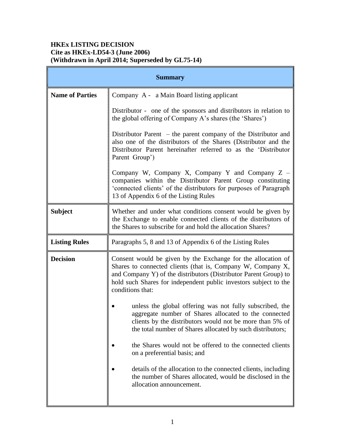# **HKEx LISTING DECISION Cite as HKEx-LD54-3 (June 2006) (Withdrawn in April 2014; Superseded by GL75-14)**

| <b>Summary</b>         |                                                                                                                                                                                                                                                                                         |
|------------------------|-----------------------------------------------------------------------------------------------------------------------------------------------------------------------------------------------------------------------------------------------------------------------------------------|
| <b>Name of Parties</b> | Company A - a Main Board listing applicant                                                                                                                                                                                                                                              |
|                        | Distributor - one of the sponsors and distributors in relation to<br>the global offering of Company A's shares (the 'Shares')                                                                                                                                                           |
|                        | Distributor Parent $-$ the parent company of the Distributor and<br>also one of the distributors of the Shares (Distributor and the<br>Distributor Parent hereinafter referred to as the 'Distributor<br>Parent Group')                                                                 |
|                        | Company W, Company X, Company Y and Company $Z -$<br>companies within the Distributor Parent Group constituting<br>'connected clients' of the distributors for purposes of Paragraph<br>13 of Appendix 6 of the Listing Rules                                                           |
| <b>Subject</b>         | Whether and under what conditions consent would be given by<br>the Exchange to enable connected clients of the distributors of<br>the Shares to subscribe for and hold the allocation Shares?                                                                                           |
| <b>Listing Rules</b>   | Paragraphs 5, 8 and 13 of Appendix 6 of the Listing Rules                                                                                                                                                                                                                               |
| <b>Decision</b>        | Consent would be given by the Exchange for the allocation of<br>Shares to connected clients (that is, Company W, Company X,<br>and Company Y) of the distributors (Distributor Parent Group) to<br>hold such Shares for independent public investors subject to the<br>conditions that: |
|                        | unless the global offering was not fully subscribed, the<br>aggregate number of Shares allocated to the connected<br>clients by the distributors would not be more than 5% of<br>the total number of Shares allocated by such distributors;                                             |
|                        | the Shares would not be offered to the connected clients<br>on a preferential basis; and                                                                                                                                                                                                |
|                        | details of the allocation to the connected clients, including<br>the number of Shares allocated, would be disclosed in the<br>allocation announcement.                                                                                                                                  |
|                        |                                                                                                                                                                                                                                                                                         |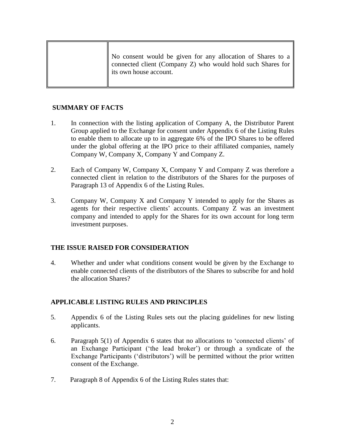## **SUMMARY OF FACTS**

- 1. In connection with the listing application of Company A, the Distributor Parent Group applied to the Exchange for consent under Appendix 6 of the Listing Rules to enable them to allocate up to in aggregate 6% of the IPO Shares to be offered under the global offering at the IPO price to their affiliated companies, namely Company W, Company X, Company Y and Company Z.
- 2. Each of Company W, Company X, Company Y and Company Z was therefore a connected client in relation to the distributors of the Shares for the purposes of Paragraph 13 of Appendix 6 of the Listing Rules.
- 3. Company W, Company X and Company Y intended to apply for the Shares as agents for their respective clients' accounts. Company Z was an investment company and intended to apply for the Shares for its own account for long term investment purposes.

## **THE ISSUE RAISED FOR CONSIDERATION**

4. Whether and under what conditions consent would be given by the Exchange to enable connected clients of the distributors of the Shares to subscribe for and hold the allocation Shares?

## **APPLICABLE LISTING RULES AND PRINCIPLES**

- 5. Appendix 6 of the Listing Rules sets out the placing guidelines for new listing applicants.
- 6. Paragraph 5(1) of Appendix 6 states that no allocations to 'connected clients' of an Exchange Participant ('the lead broker') or through a syndicate of the Exchange Participants ('distributors') will be permitted without the prior written consent of the Exchange.
- 7. Paragraph 8 of Appendix 6 of the Listing Rules states that: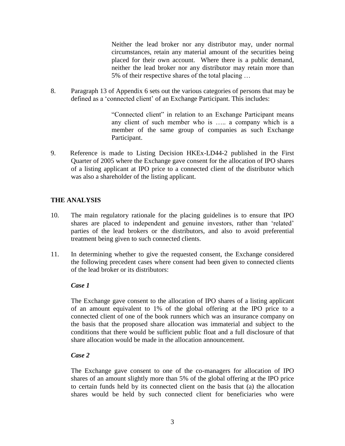Neither the lead broker nor any distributor may, under normal circumstances, retain any material amount of the securities being placed for their own account. Where there is a public demand, neither the lead broker nor any distributor may retain more than 5% of their respective shares of the total placing …

8. Paragraph 13 of Appendix 6 sets out the various categories of persons that may be defined as a 'connected client' of an Exchange Participant. This includes:

> "Connected client" in relation to an Exchange Participant means any client of such member who is ….. a company which is a member of the same group of companies as such Exchange Participant.

9. Reference is made to Listing Decision HKEx-LD44-2 published in the First Quarter of 2005 where the Exchange gave consent for the allocation of IPO shares of a listing applicant at IPO price to a connected client of the distributor which was also a shareholder of the listing applicant.

## **THE ANALYSIS**

- 10. The main regulatory rationale for the placing guidelines is to ensure that IPO shares are placed to independent and genuine investors, rather than 'related' parties of the lead brokers or the distributors, and also to avoid preferential treatment being given to such connected clients.
- 11. In determining whether to give the requested consent, the Exchange considered the following precedent cases where consent had been given to connected clients of the lead broker or its distributors:

#### *Case 1*

The Exchange gave consent to the allocation of IPO shares of a listing applicant of an amount equivalent to 1% of the global offering at the IPO price to a connected client of one of the book runners which was an insurance company on the basis that the proposed share allocation was immaterial and subject to the conditions that there would be sufficient public float and a full disclosure of that share allocation would be made in the allocation announcement.

#### *Case 2*

The Exchange gave consent to one of the co-managers for allocation of IPO shares of an amount slightly more than 5% of the global offering at the IPO price to certain funds held by its connected client on the basis that (a) the allocation shares would be held by such connected client for beneficiaries who were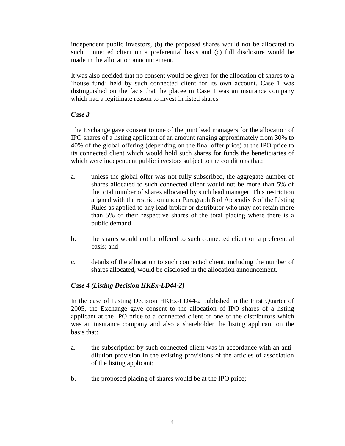independent public investors, (b) the proposed shares would not be allocated to such connected client on a preferential basis and (c) full disclosure would be made in the allocation announcement.

It was also decided that no consent would be given for the allocation of shares to a 'house fund' held by such connected client for its own account. Case 1 was distinguished on the facts that the placee in Case 1 was an insurance company which had a legitimate reason to invest in listed shares.

## *Case 3*

The Exchange gave consent to one of the joint lead managers for the allocation of IPO shares of a listing applicant of an amount ranging approximately from 30% to 40% of the global offering (depending on the final offer price) at the IPO price to its connected client which would hold such shares for funds the beneficiaries of which were independent public investors subject to the conditions that:

- a. unless the global offer was not fully subscribed, the aggregate number of shares allocated to such connected client would not be more than 5% of the total number of shares allocated by such lead manager. This restriction aligned with the restriction under Paragraph 8 of Appendix 6 of the Listing Rules as applied to any lead broker or distributor who may not retain more than 5% of their respective shares of the total placing where there is a public demand.
- b. the shares would not be offered to such connected client on a preferential basis; and
- c. details of the allocation to such connected client, including the number of shares allocated, would be disclosed in the allocation announcement.

## *Case 4 (Listing Decision HKEx-LD44-2)*

In the case of Listing Decision HKEx-LD44-2 published in the First Quarter of 2005, the Exchange gave consent to the allocation of IPO shares of a listing applicant at the IPO price to a connected client of one of the distributors which was an insurance company and also a shareholder the listing applicant on the basis that:

- a. the subscription by such connected client was in accordance with an antidilution provision in the existing provisions of the articles of association of the listing applicant;
- b. the proposed placing of shares would be at the IPO price;